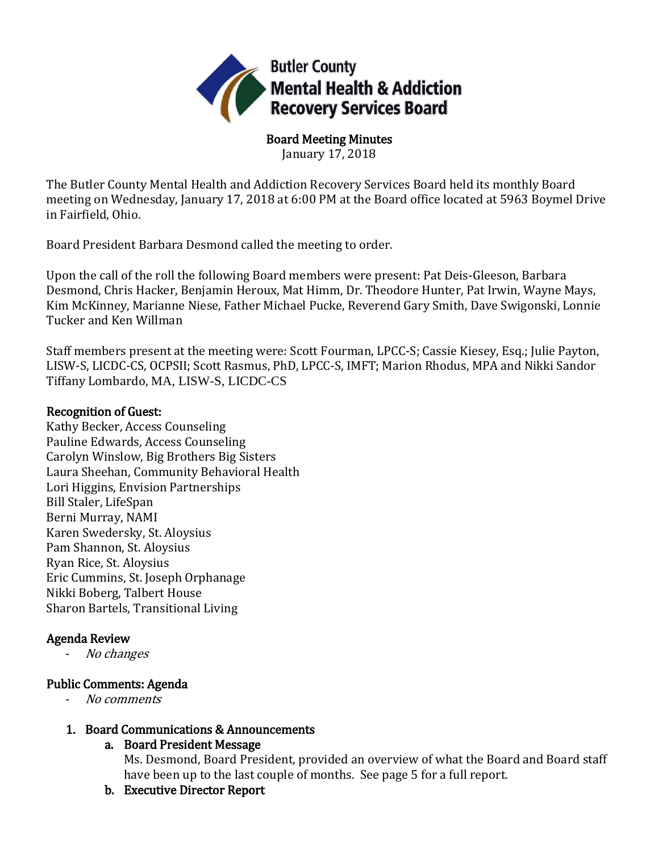

Board Meeting Minutes January 17, 2018

The Butler County Mental Health and Addiction Recovery Services Board held its monthly Board meeting on Wednesday, January 17, 2018 at 6:00 PM at the Board office located at 5963 Boymel Drive in Fairfield, Ohio.

Board President Barbara Desmond called the meeting to order.

Upon the call of the roll the following Board members were present: Pat Deis-Gleeson, Barbara Desmond, Chris Hacker, Benjamin Heroux, Mat Himm, Dr. Theodore Hunter, Pat Irwin, Wayne Mays, Kim McKinney, Marianne Niese, Father Michael Pucke, Reverend Gary Smith, Dave Swigonski, Lonnie Tucker and Ken Willman

Staff members present at the meeting were: Scott Fourman, LPCC-S; Cassie Kiesey, Esq.; Julie Payton, LISW-S, LICDC-CS, OCPSII; Scott Rasmus, PhD, LPCC-S, IMFT; Marion Rhodus, MPA and Nikki Sandor Tiffany Lombardo, MA, LISW-S, LICDC-CS

### Recognition of Guest:

Kathy Becker, Access Counseling Pauline Edwards, Access Counseling Carolyn Winslow, Big Brothers Big Sisters Laura Sheehan, Community Behavioral Health Lori Higgins, Envision Partnerships Bill Staler, LifeSpan Berni Murray, NAMI Karen Swedersky, St. Aloysius Pam Shannon, St. Aloysius Ryan Rice, St. Aloysius Eric Cummins, St. Joseph Orphanage Nikki Boberg, Talbert House Sharon Bartels, Transitional Living

# Agenda Review

No changes

# Public Comments: Agenda

- No comments

# 1. Board Communications & Announcements

# a. Board President Message

Ms. Desmond, Board President, provided an overview of what the Board and Board staff have been up to the last couple of months. See page 5 for a full report.

b. Executive Director Report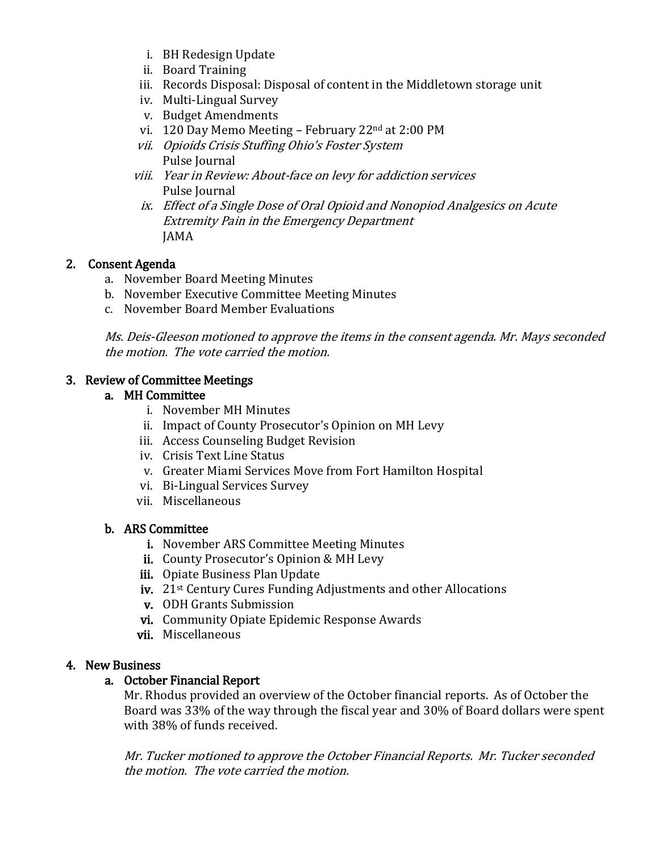- i. BH Redesign Update
- ii. Board Training
- iii. Records Disposal: Disposal of content in the Middletown storage unit
- iv. Multi-Lingual Survey
- v. Budget Amendments
- vi. 120 Day Memo Meeting February 22nd at 2:00 PM
- vii. Opioids Crisis Stuffing Ohio's Foster System Pulse Journal
- viii. Year in Review: About-face on levy for addiction services Pulse Journal
- ix. Effect of a Single Dose of Oral Opioid and Nonopiod Analgesics on Acute Extremity Pain in the Emergency Department JAMA

# 2. Consent Agenda

- a. November Board Meeting Minutes
- b. November Executive Committee Meeting Minutes
- c. November Board Member Evaluations

Ms. Deis-Gleeson motioned to approve the items in the consent agenda. Mr. Mays seconded the motion. The vote carried the motion.

### 3. Review of Committee Meetings

### a. MH Committee

- i. November MH Minutes
- ii. Impact of County Prosecutor's Opinion on MH Levy
- iii. Access Counseling Budget Revision
- iv. Crisis Text Line Status
- v. Greater Miami Services Move from Fort Hamilton Hospital
- vi. Bi-Lingual Services Survey
- vii. Miscellaneous

# b. ARS Committee

- i. November ARS Committee Meeting Minutes
- ii. County Prosecutor's Opinion & MH Levy
- iii. Opiate Business Plan Update
- iv. 21st Century Cures Funding Adjustments and other Allocations
- v. ODH Grants Submission
- vi. Community Opiate Epidemic Response Awards
- vii. Miscellaneous

#### 4. New Business

#### a. October Financial Report

Mr. Rhodus provided an overview of the October financial reports. As of October the Board was 33% of the way through the fiscal year and 30% of Board dollars were spent with 38% of funds received.

Mr. Tucker motioned to approve the October Financial Reports. Mr. Tucker seconded the motion. The vote carried the motion.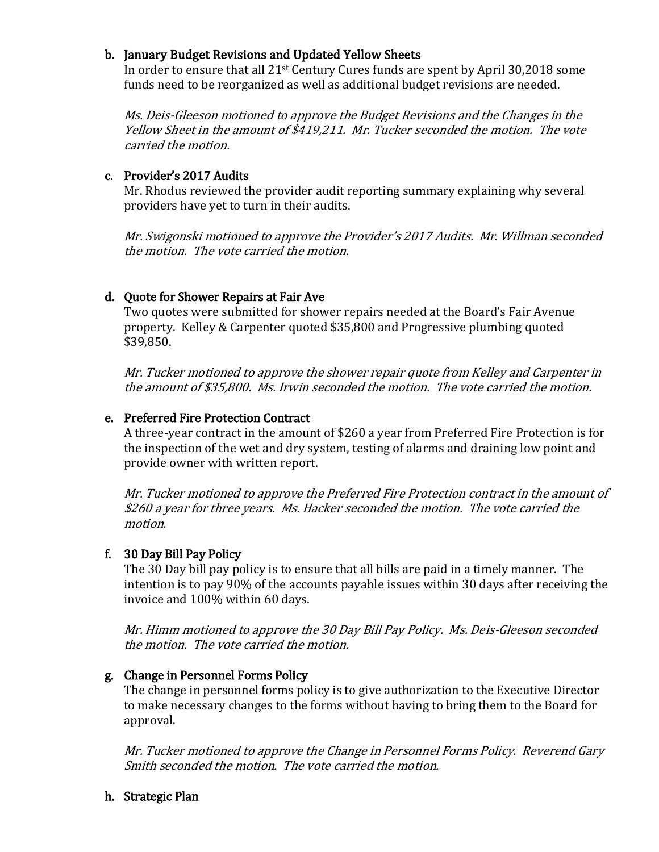### b. January Budget Revisions and Updated Yellow Sheets

In order to ensure that all 21st Century Cures funds are spent by April 30,2018 some funds need to be reorganized as well as additional budget revisions are needed.

Ms. Deis-Gleeson motioned to approve the Budget Revisions and the Changes in the Yellow Sheet in the amount of \$419,211. Mr. Tucker seconded the motion. The vote carried the motion.

#### c. Provider's 2017 Audits

Mr. Rhodus reviewed the provider audit reporting summary explaining why several providers have yet to turn in their audits.

Mr. Swigonski motioned to approve the Provider's 2017 Audits. Mr. Willman seconded the motion. The vote carried the motion.

# d. Quote for Shower Repairs at Fair Ave

Two quotes were submitted for shower repairs needed at the Board's Fair Avenue property. Kelley & Carpenter quoted \$35,800 and Progressive plumbing quoted \$39,850.

Mr. Tucker motioned to approve the shower repair quote from Kelley and Carpenter in the amount of \$35,800. Ms. Irwin seconded the motion. The vote carried the motion.

# e. Preferred Fire Protection Contract

A three-year contract in the amount of \$260 a year from Preferred Fire Protection is for the inspection of the wet and dry system, testing of alarms and draining low point and provide owner with written report.

Mr. Tucker motioned to approve the Preferred Fire Protection contract in the amount of \$260 a year for three years. Ms. Hacker seconded the motion. The vote carried the motion.

# f. 30 Day Bill Pay Policy

The 30 Day bill pay policy is to ensure that all bills are paid in a timely manner. The intention is to pay 90% of the accounts payable issues within 30 days after receiving the invoice and 100% within 60 days.

Mr. Himm motioned to approve the 30 Day Bill Pay Policy. Ms. Deis-Gleeson seconded the motion. The vote carried the motion.

#### g. Change in Personnel Forms Policy

The change in personnel forms policy is to give authorization to the Executive Director to make necessary changes to the forms without having to bring them to the Board for approval.

Mr. Tucker motioned to approve the Change in Personnel Forms Policy. Reverend Gary Smith seconded the motion. The vote carried the motion.

h. Strategic Plan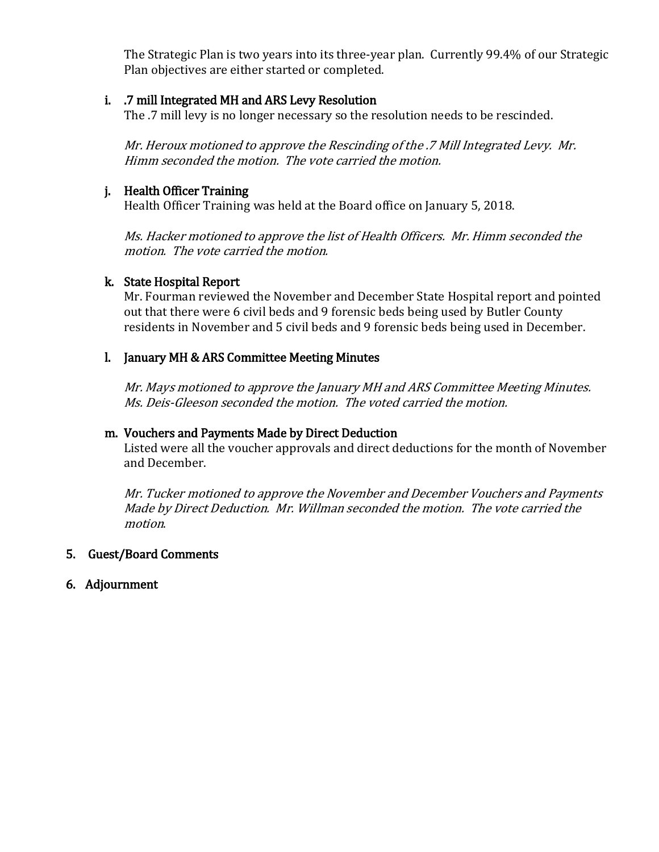The Strategic Plan is two years into its three-year plan. Currently 99.4% of our Strategic Plan objectives are either started or completed.

#### i. .7 mill Integrated MH and ARS Levy Resolution

The .7 mill levy is no longer necessary so the resolution needs to be rescinded.

Mr. Heroux motioned to approve the Rescinding of the .7 Mill Integrated Levy. Mr. Himm seconded the motion. The vote carried the motion.

### j. Health Officer Training

Health Officer Training was held at the Board office on January 5, 2018.

Ms. Hacker motioned to approve the list of Health Officers. Mr. Himm seconded the motion. The vote carried the motion.

### k. State Hospital Report

Mr. Fourman reviewed the November and December State Hospital report and pointed out that there were 6 civil beds and 9 forensic beds being used by Butler County residents in November and 5 civil beds and 9 forensic beds being used in December.

### l. January MH & ARS Committee Meeting Minutes

Mr. Mays motioned to approve the January MH and ARS Committee Meeting Minutes. Ms. Deis-Gleeson seconded the motion. The voted carried the motion.

#### m. Vouchers and Payments Made by Direct Deduction

Listed were all the voucher approvals and direct deductions for the month of November and December.

Mr. Tucker motioned to approve the November and December Vouchers and Payments Made by Direct Deduction. Mr. Willman seconded the motion. The vote carried the motion.

# 5. Guest/Board Comments

6. Adjournment